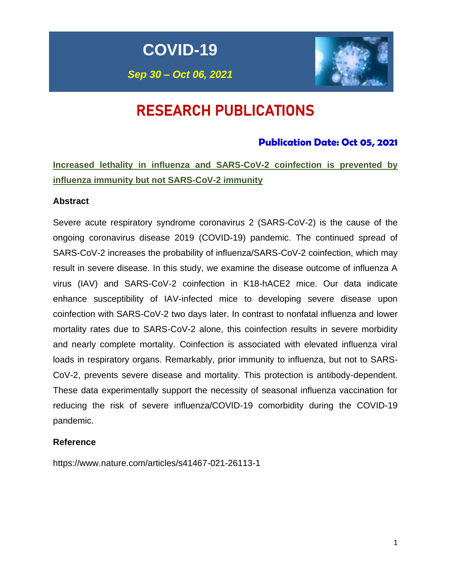**COVID-19**

*Sep 30 – Oct 06, 2021*



# RESEARCH PUBLICATIONS

### **Publication Date: Oct 05, 2021**

**Increased lethality in influenza and SARS-CoV-2 coinfection is prevented by influenza immunity but not SARS-CoV-2 immunity**

### **Abstract**

Severe acute respiratory syndrome coronavirus 2 (SARS-CoV-2) is the cause of the ongoing coronavirus disease 2019 (COVID-19) pandemic. The continued spread of SARS-CoV-2 increases the probability of influenza/SARS-CoV-2 coinfection, which may result in severe disease. In this study, we examine the disease outcome of influenza A virus (IAV) and SARS-CoV-2 coinfection in K18-hACE2 mice. Our data indicate enhance susceptibility of IAV-infected mice to developing severe disease upon coinfection with SARS-CoV-2 two days later. In contrast to nonfatal influenza and lower mortality rates due to SARS-CoV-2 alone, this coinfection results in severe morbidity and nearly complete mortality. Coinfection is associated with elevated influenza viral loads in respiratory organs. Remarkably, prior immunity to influenza, but not to SARS-CoV-2, prevents severe disease and mortality. This protection is antibody-dependent. These data experimentally support the necessity of seasonal influenza vaccination for reducing the risk of severe influenza/COVID-19 comorbidity during the COVID-19 pandemic.

### **Reference**

https://www.nature.com/articles/s41467-021-26113-1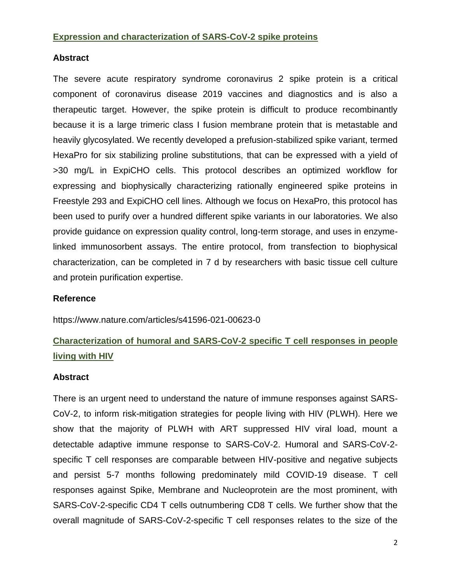### **Expression and characterization of SARS-CoV-2 spike proteins**

### **Abstract**

The severe acute respiratory syndrome coronavirus 2 spike protein is a critical component of coronavirus disease 2019 vaccines and diagnostics and is also a therapeutic target. However, the spike protein is difficult to produce recombinantly because it is a large trimeric class I fusion membrane protein that is metastable and heavily glycosylated. We recently developed a prefusion-stabilized spike variant, termed HexaPro for six stabilizing proline substitutions, that can be expressed with a yield of >30 mg/L in ExpiCHO cells. This protocol describes an optimized workflow for expressing and biophysically characterizing rationally engineered spike proteins in Freestyle 293 and ExpiCHO cell lines. Although we focus on HexaPro, this protocol has been used to purify over a hundred different spike variants in our laboratories. We also provide guidance on expression quality control, long-term storage, and uses in enzymelinked immunosorbent assays. The entire protocol, from transfection to biophysical characterization, can be completed in 7 d by researchers with basic tissue cell culture and protein purification expertise.

### **Reference**

https://www.nature.com/articles/s41596-021-00623-0

# **Characterization of humoral and SARS-CoV-2 specific T cell responses in people living with HIV**

### **Abstract**

There is an urgent need to understand the nature of immune responses against SARS-CoV-2, to inform risk-mitigation strategies for people living with HIV (PLWH). Here we show that the majority of PLWH with ART suppressed HIV viral load, mount a detectable adaptive immune response to SARS-CoV-2. Humoral and SARS-CoV-2 specific T cell responses are comparable between HIV-positive and negative subjects and persist 5-7 months following predominately mild COVID-19 disease. T cell responses against Spike, Membrane and Nucleoprotein are the most prominent, with SARS-CoV-2-specific CD4 T cells outnumbering CD8 T cells. We further show that the overall magnitude of SARS-CoV-2-specific T cell responses relates to the size of the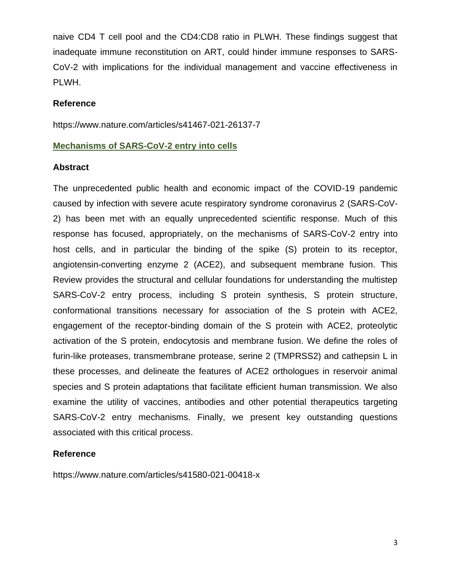naive CD4 T cell pool and the CD4:CD8 ratio in PLWH. These findings suggest that inadequate immune reconstitution on ART, could hinder immune responses to SARS-CoV-2 with implications for the individual management and vaccine effectiveness in PLWH.

### **Reference**

https://www.nature.com/articles/s41467-021-26137-7

### **Mechanisms of SARS-CoV-2 entry into cells**

### **Abstract**

The unprecedented public health and economic impact of the COVID-19 pandemic caused by infection with severe acute respiratory syndrome coronavirus 2 (SARS-CoV-2) has been met with an equally unprecedented scientific response. Much of this response has focused, appropriately, on the mechanisms of SARS-CoV-2 entry into host cells, and in particular the binding of the spike (S) protein to its receptor, angiotensin-converting enzyme 2 (ACE2), and subsequent membrane fusion. This Review provides the structural and cellular foundations for understanding the multistep SARS-CoV-2 entry process, including S protein synthesis, S protein structure, conformational transitions necessary for association of the S protein with ACE2, engagement of the receptor-binding domain of the S protein with ACE2, proteolytic activation of the S protein, endocytosis and membrane fusion. We define the roles of furin-like proteases, transmembrane protease, serine 2 (TMPRSS2) and cathepsin L in these processes, and delineate the features of ACE2 orthologues in reservoir animal species and S protein adaptations that facilitate efficient human transmission. We also examine the utility of vaccines, antibodies and other potential therapeutics targeting SARS-CoV-2 entry mechanisms. Finally, we present key outstanding questions associated with this critical process.

### **Reference**

https://www.nature.com/articles/s41580-021-00418-x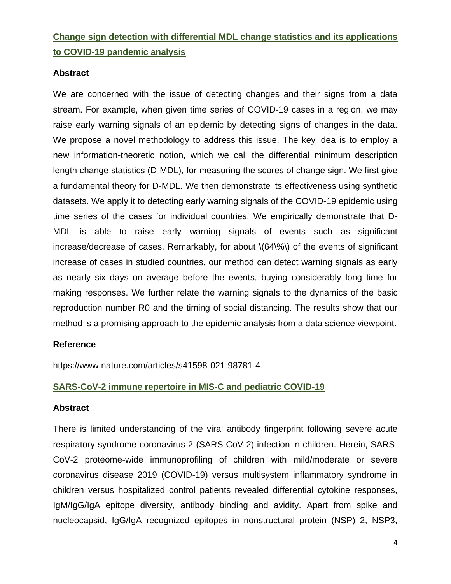# **Change sign detection with differential MDL change statistics and its applications to COVID-19 pandemic analysis**

### **Abstract**

We are concerned with the issue of detecting changes and their signs from a data stream. For example, when given time series of COVID-19 cases in a region, we may raise early warning signals of an epidemic by detecting signs of changes in the data. We propose a novel methodology to address this issue. The key idea is to employ a new information-theoretic notion, which we call the differential minimum description length change statistics (D-MDL), for measuring the scores of change sign. We first give a fundamental theory for D-MDL. We then demonstrate its effectiveness using synthetic datasets. We apply it to detecting early warning signals of the COVID-19 epidemic using time series of the cases for individual countries. We empirically demonstrate that D-MDL is able to raise early warning signals of events such as significant increase/decrease of cases. Remarkably, for about \(64\%\) of the events of significant increase of cases in studied countries, our method can detect warning signals as early as nearly six days on average before the events, buying considerably long time for making responses. We further relate the warning signals to the dynamics of the basic reproduction number R0 and the timing of social distancing. The results show that our method is a promising approach to the epidemic analysis from a data science viewpoint.

### **Reference**

https://www.nature.com/articles/s41598-021-98781-4

### **SARS-CoV-2 immune repertoire in MIS-C and pediatric COVID-19**

### **Abstract**

There is limited understanding of the viral antibody fingerprint following severe acute respiratory syndrome coronavirus 2 (SARS-CoV-2) infection in children. Herein, SARS-CoV-2 proteome-wide immunoprofiling of children with mild/moderate or severe coronavirus disease 2019 (COVID-19) versus multisystem inflammatory syndrome in children versus hospitalized control patients revealed differential cytokine responses, IgM/IgG/IgA epitope diversity, antibody binding and avidity. Apart from spike and nucleocapsid, IgG/IgA recognized epitopes in nonstructural protein (NSP) 2, NSP3,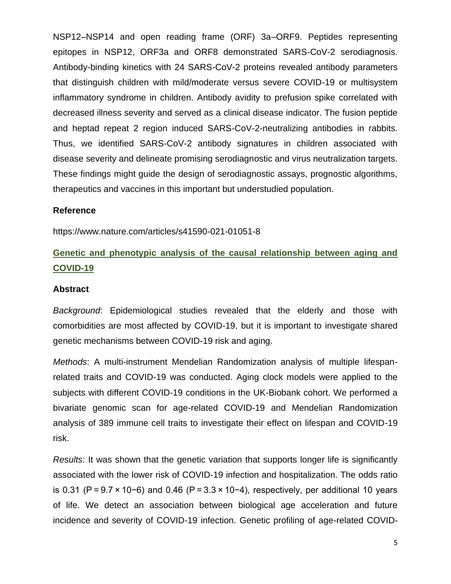NSP12–NSP14 and open reading frame (ORF) 3a–ORF9. Peptides representing epitopes in NSP12, ORF3a and ORF8 demonstrated SARS-CoV-2 serodiagnosis. Antibody-binding kinetics with 24 SARS-CoV-2 proteins revealed antibody parameters that distinguish children with mild/moderate versus severe COVID-19 or multisystem inflammatory syndrome in children. Antibody avidity to prefusion spike correlated with decreased illness severity and served as a clinical disease indicator. The fusion peptide and heptad repeat 2 region induced SARS-CoV-2-neutralizing antibodies in rabbits. Thus, we identified SARS-CoV-2 antibody signatures in children associated with disease severity and delineate promising serodiagnostic and virus neutralization targets. These findings might guide the design of serodiagnostic assays, prognostic algorithms, therapeutics and vaccines in this important but understudied population.

### **Reference**

https://www.nature.com/articles/s41590-021-01051-8

### **Genetic and phenotypic analysis of the causal relationship between aging and COVID-19**

#### **Abstract**

*Background*: Epidemiological studies revealed that the elderly and those with comorbidities are most affected by COVID-19, but it is important to investigate shared genetic mechanisms between COVID-19 risk and aging.

*Methods*: A multi-instrument Mendelian Randomization analysis of multiple lifespanrelated traits and COVID-19 was conducted. Aging clock models were applied to the subjects with different COVID-19 conditions in the UK-Biobank cohort. We performed a bivariate genomic scan for age-related COVID-19 and Mendelian Randomization analysis of 389 immune cell traits to investigate their effect on lifespan and COVID-19 risk.

*Results*: It was shown that the genetic variation that supports longer life is significantly associated with the lower risk of COVID-19 infection and hospitalization. The odds ratio is 0.31 (P = 9.7 × 10−6) and 0.46 (P = 3.3 × 10−4), respectively, per additional 10 years of life. We detect an association between biological age acceleration and future incidence and severity of COVID-19 infection. Genetic profiling of age-related COVID-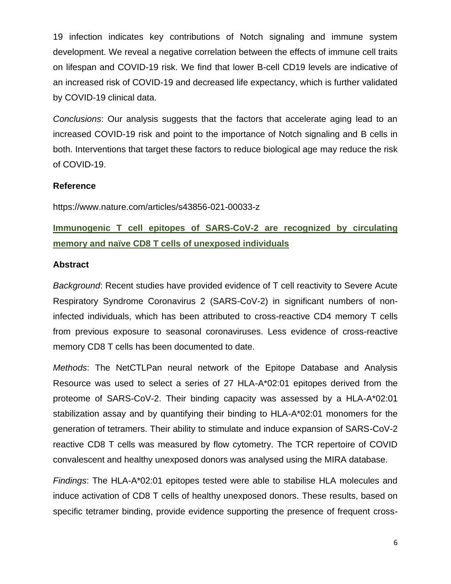19 infection indicates key contributions of Notch signaling and immune system development. We reveal a negative correlation between the effects of immune cell traits on lifespan and COVID-19 risk. We find that lower B-cell CD19 levels are indicative of an increased risk of COVID-19 and decreased life expectancy, which is further validated by COVID-19 clinical data.

*Conclusions*: Our analysis suggests that the factors that accelerate aging lead to an increased COVID-19 risk and point to the importance of Notch signaling and B cells in both. Interventions that target these factors to reduce biological age may reduce the risk of COVID-19.

### **Reference**

https://www.nature.com/articles/s43856-021-00033-z

## **Immunogenic T cell epitopes of SARS-CoV-2 are recognized by circulating memory and naïve CD8 T cells of unexposed individuals**

### **Abstract**

*Background*: Recent studies have provided evidence of T cell reactivity to Severe Acute Respiratory Syndrome Coronavirus 2 (SARS-CoV-2) in significant numbers of noninfected individuals, which has been attributed to cross-reactive CD4 memory T cells from previous exposure to seasonal coronaviruses. Less evidence of cross-reactive memory CD8 T cells has been documented to date.

*Methods*: The NetCTLPan neural network of the Epitope Database and Analysis Resource was used to select a series of 27 HLA-A\*02:01 epitopes derived from the proteome of SARS-CoV-2. Their binding capacity was assessed by a HLA-A\*02:01 stabilization assay and by quantifying their binding to HLA-A\*02:01 monomers for the generation of tetramers. Their ability to stimulate and induce expansion of SARS-CoV-2 reactive CD8 T cells was measured by flow cytometry. The TCR repertoire of COVID convalescent and healthy unexposed donors was analysed using the MIRA database.

*Findings*: The HLA-A\*02:01 epitopes tested were able to stabilise HLA molecules and induce activation of CD8 T cells of healthy unexposed donors. These results, based on specific tetramer binding, provide evidence supporting the presence of frequent cross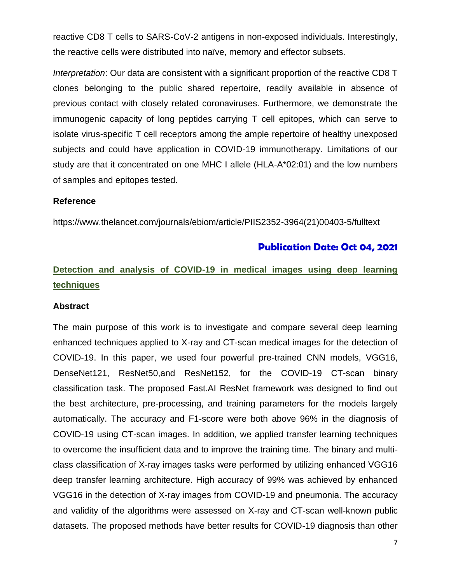reactive CD8 T cells to SARS-CoV-2 antigens in non-exposed individuals. Interestingly, the reactive cells were distributed into naïve, memory and effector subsets.

*Interpretation*: Our data are consistent with a significant proportion of the reactive CD8 T clones belonging to the public shared repertoire, readily available in absence of previous contact with closely related coronaviruses. Furthermore, we demonstrate the immunogenic capacity of long peptides carrying T cell epitopes, which can serve to isolate virus-specific T cell receptors among the ample repertoire of healthy unexposed subjects and could have application in COVID-19 immunotherapy. Limitations of our study are that it concentrated on one MHC I allele (HLA-A\*02:01) and the low numbers of samples and epitopes tested.

### **Reference**

https://www.thelancet.com/journals/ebiom/article/PIIS2352-3964(21)00403-5/fulltext

### **Publication Date: Oct 04, 2021**

# **Detection and analysis of COVID-19 in medical images using deep learning techniques**

### **Abstract**

The main purpose of this work is to investigate and compare several deep learning enhanced techniques applied to X-ray and CT-scan medical images for the detection of COVID-19. In this paper, we used four powerful pre-trained CNN models, VGG16, DenseNet121, ResNet50,and ResNet152, for the COVID-19 CT-scan binary classification task. The proposed Fast.AI ResNet framework was designed to find out the best architecture, pre-processing, and training parameters for the models largely automatically. The accuracy and F1-score were both above 96% in the diagnosis of COVID-19 using CT-scan images. In addition, we applied transfer learning techniques to overcome the insufficient data and to improve the training time. The binary and multiclass classification of X-ray images tasks were performed by utilizing enhanced VGG16 deep transfer learning architecture. High accuracy of 99% was achieved by enhanced VGG16 in the detection of X-ray images from COVID-19 and pneumonia. The accuracy and validity of the algorithms were assessed on X-ray and CT-scan well-known public datasets. The proposed methods have better results for COVID-19 diagnosis than other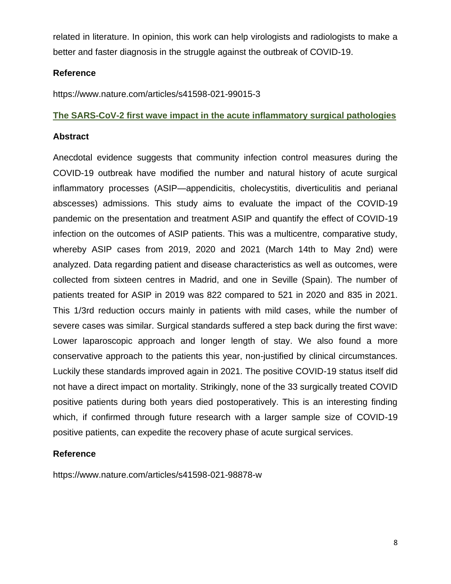related in literature. In opinion, this work can help virologists and radiologists to make a better and faster diagnosis in the struggle against the outbreak of COVID-19.

### **Reference**

https://www.nature.com/articles/s41598-021-99015-3

### **The SARS-CoV-2 first wave impact in the acute inflammatory surgical pathologies**

### **Abstract**

Anecdotal evidence suggests that community infection control measures during the COVID-19 outbreak have modified the number and natural history of acute surgical inflammatory processes (ASIP—appendicitis, cholecystitis, diverticulitis and perianal abscesses) admissions. This study aims to evaluate the impact of the COVID-19 pandemic on the presentation and treatment ASIP and quantify the effect of COVID-19 infection on the outcomes of ASIP patients. This was a multicentre, comparative study, whereby ASIP cases from 2019, 2020 and 2021 (March 14th to May 2nd) were analyzed. Data regarding patient and disease characteristics as well as outcomes, were collected from sixteen centres in Madrid, and one in Seville (Spain). The number of patients treated for ASIP in 2019 was 822 compared to 521 in 2020 and 835 in 2021. This 1/3rd reduction occurs mainly in patients with mild cases, while the number of severe cases was similar. Surgical standards suffered a step back during the first wave: Lower laparoscopic approach and longer length of stay. We also found a more conservative approach to the patients this year, non-justified by clinical circumstances. Luckily these standards improved again in 2021. The positive COVID-19 status itself did not have a direct impact on mortality. Strikingly, none of the 33 surgically treated COVID positive patients during both years died postoperatively. This is an interesting finding which, if confirmed through future research with a larger sample size of COVID-19 positive patients, can expedite the recovery phase of acute surgical services.

### **Reference**

https://www.nature.com/articles/s41598-021-98878-w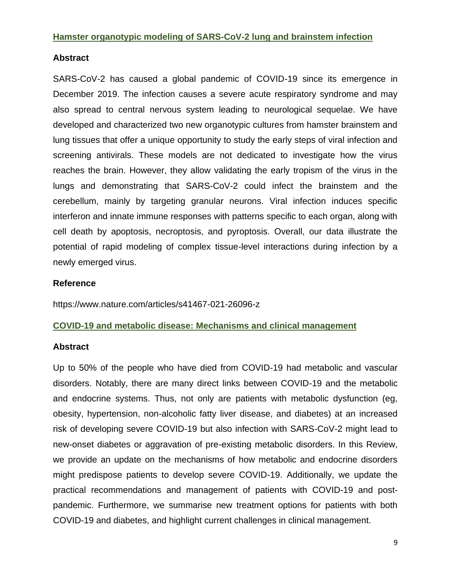### **Hamster organotypic modeling of SARS-CoV-2 lung and brainstem infection**

### **Abstract**

SARS-CoV-2 has caused a global pandemic of COVID-19 since its emergence in December 2019. The infection causes a severe acute respiratory syndrome and may also spread to central nervous system leading to neurological sequelae. We have developed and characterized two new organotypic cultures from hamster brainstem and lung tissues that offer a unique opportunity to study the early steps of viral infection and screening antivirals. These models are not dedicated to investigate how the virus reaches the brain. However, they allow validating the early tropism of the virus in the lungs and demonstrating that SARS-CoV-2 could infect the brainstem and the cerebellum, mainly by targeting granular neurons. Viral infection induces specific interferon and innate immune responses with patterns specific to each organ, along with cell death by apoptosis, necroptosis, and pyroptosis. Overall, our data illustrate the potential of rapid modeling of complex tissue-level interactions during infection by a newly emerged virus.

### **Reference**

https://www.nature.com/articles/s41467-021-26096-z

### **COVID-19 and metabolic disease: Mechanisms and clinical management**

### **Abstract**

Up to 50% of the people who have died from COVID-19 had metabolic and vascular disorders. Notably, there are many direct links between COVID-19 and the metabolic and endocrine systems. Thus, not only are patients with metabolic dysfunction (eg, obesity, hypertension, non-alcoholic fatty liver disease, and diabetes) at an increased risk of developing severe COVID-19 but also infection with SARS-CoV-2 might lead to new-onset diabetes or aggravation of pre-existing metabolic disorders. In this Review, we provide an update on the mechanisms of how metabolic and endocrine disorders might predispose patients to develop severe COVID-19. Additionally, we update the practical recommendations and management of patients with COVID-19 and postpandemic. Furthermore, we summarise new treatment options for patients with both COVID-19 and diabetes, and highlight current challenges in clinical management.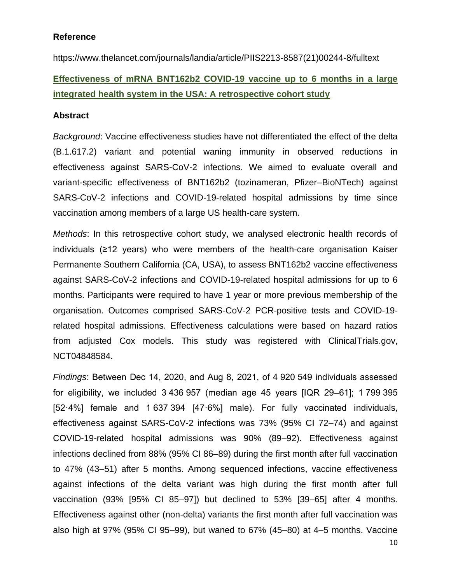### **Reference**

https://www.thelancet.com/journals/landia/article/PIIS2213-8587(21)00244-8/fulltext

# **Effectiveness of mRNA BNT162b2 COVID-19 vaccine up to 6 months in a large integrated health system in the USA: A retrospective cohort study**

### **Abstract**

*Background*: Vaccine effectiveness studies have not differentiated the effect of the delta (B.1.617.2) variant and potential waning immunity in observed reductions in effectiveness against SARS-CoV-2 infections. We aimed to evaluate overall and variant-specific effectiveness of BNT162b2 (tozinameran, Pfizer–BioNTech) against SARS-CoV-2 infections and COVID-19-related hospital admissions by time since vaccination among members of a large US health-care system.

*Methods*: In this retrospective cohort study, we analysed electronic health records of individuals (≥12 years) who were members of the health-care organisation Kaiser Permanente Southern California (CA, USA), to assess BNT162b2 vaccine effectiveness against SARS-CoV-2 infections and COVID-19-related hospital admissions for up to 6 months. Participants were required to have 1 year or more previous membership of the organisation. Outcomes comprised SARS-CoV-2 PCR-positive tests and COVID-19 related hospital admissions. Effectiveness calculations were based on hazard ratios from adjusted Cox models. This study was registered with ClinicalTrials.gov, NCT04848584.

*Findings*: Between Dec 14, 2020, and Aug 8, 2021, of 4 920 549 individuals assessed for eligibility, we included 3 436 957 (median age 45 years [IQR 29–61]; 1 799 395 [52·4%] female and 1 637 394 [47·6%] male). For fully vaccinated individuals, effectiveness against SARS-CoV-2 infections was 73% (95% CI 72–74) and against COVID-19-related hospital admissions was 90% (89–92). Effectiveness against infections declined from 88% (95% CI 86–89) during the first month after full vaccination to 47% (43–51) after 5 months. Among sequenced infections, vaccine effectiveness against infections of the delta variant was high during the first month after full vaccination (93% [95% CI 85–97]) but declined to 53% [39–65] after 4 months. Effectiveness against other (non-delta) variants the first month after full vaccination was also high at 97% (95% CI 95–99), but waned to 67% (45–80) at 4–5 months. Vaccine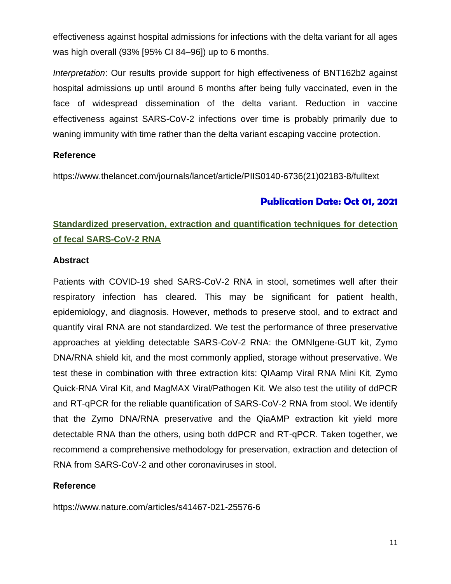effectiveness against hospital admissions for infections with the delta variant for all ages was high overall (93% [95% CI 84–96]) up to 6 months.

*Interpretation*: Our results provide support for high effectiveness of BNT162b2 against hospital admissions up until around 6 months after being fully vaccinated, even in the face of widespread dissemination of the delta variant. Reduction in vaccine effectiveness against SARS-CoV-2 infections over time is probably primarily due to waning immunity with time rather than the delta variant escaping vaccine protection.

### **Reference**

https://www.thelancet.com/journals/lancet/article/PIIS0140-6736(21)02183-8/fulltext

### **Publication Date: Oct 01, 2021**

# **Standardized preservation, extraction and quantification techniques for detection of fecal SARS-CoV-2 RNA**

### **Abstract**

Patients with COVID-19 shed SARS-CoV-2 RNA in stool, sometimes well after their respiratory infection has cleared. This may be significant for patient health, epidemiology, and diagnosis. However, methods to preserve stool, and to extract and quantify viral RNA are not standardized. We test the performance of three preservative approaches at yielding detectable SARS-CoV-2 RNA: the OMNIgene-GUT kit, Zymo DNA/RNA shield kit, and the most commonly applied, storage without preservative. We test these in combination with three extraction kits: QIAamp Viral RNA Mini Kit, Zymo Quick-RNA Viral Kit, and MagMAX Viral/Pathogen Kit. We also test the utility of ddPCR and RT-qPCR for the reliable quantification of SARS-CoV-2 RNA from stool. We identify that the Zymo DNA/RNA preservative and the QiaAMP extraction kit yield more detectable RNA than the others, using both ddPCR and RT-qPCR. Taken together, we recommend a comprehensive methodology for preservation, extraction and detection of RNA from SARS-CoV-2 and other coronaviruses in stool.

### **Reference**

https://www.nature.com/articles/s41467-021-25576-6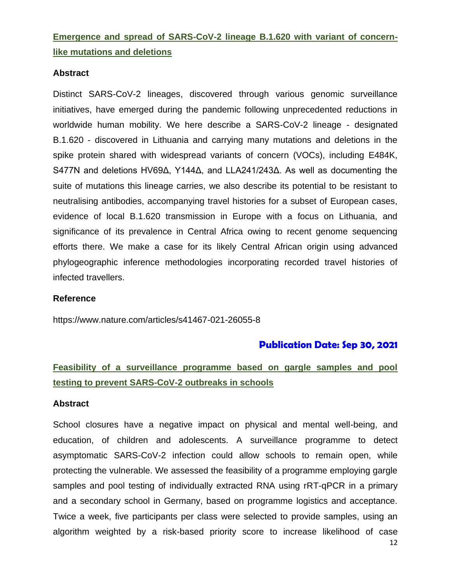**Emergence and spread of SARS-CoV-2 lineage B.1.620 with variant of concernlike mutations and deletions**

### **Abstract**

Distinct SARS-CoV-2 lineages, discovered through various genomic surveillance initiatives, have emerged during the pandemic following unprecedented reductions in worldwide human mobility. We here describe a SARS-CoV-2 lineage - designated B.1.620 - discovered in Lithuania and carrying many mutations and deletions in the spike protein shared with widespread variants of concern (VOCs), including E484K, S477N and deletions HV69Δ, Y144Δ, and LLA241/243Δ. As well as documenting the suite of mutations this lineage carries, we also describe its potential to be resistant to neutralising antibodies, accompanying travel histories for a subset of European cases, evidence of local B.1.620 transmission in Europe with a focus on Lithuania, and significance of its prevalence in Central Africa owing to recent genome sequencing efforts there. We make a case for its likely Central African origin using advanced phylogeographic inference methodologies incorporating recorded travel histories of infected travellers.

### **Reference**

https://www.nature.com/articles/s41467-021-26055-8

### **Publication Date: Sep 30, 2021**

### **Feasibility of a surveillance programme based on gargle samples and pool testing to prevent SARS-CoV-2 outbreaks in schools**

### **Abstract**

School closures have a negative impact on physical and mental well-being, and education, of children and adolescents. A surveillance programme to detect asymptomatic SARS-CoV-2 infection could allow schools to remain open, while protecting the vulnerable. We assessed the feasibility of a programme employing gargle samples and pool testing of individually extracted RNA using rRT-qPCR in a primary and a secondary school in Germany, based on programme logistics and acceptance. Twice a week, five participants per class were selected to provide samples, using an algorithm weighted by a risk-based priority score to increase likelihood of case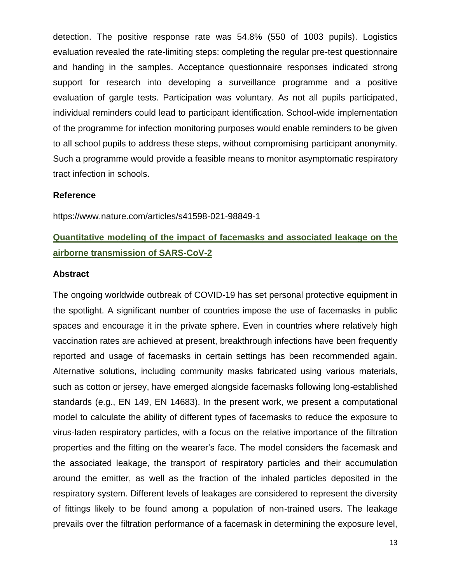detection. The positive response rate was 54.8% (550 of 1003 pupils). Logistics evaluation revealed the rate-limiting steps: completing the regular pre-test questionnaire and handing in the samples. Acceptance questionnaire responses indicated strong support for research into developing a surveillance programme and a positive evaluation of gargle tests. Participation was voluntary. As not all pupils participated, individual reminders could lead to participant identification. School-wide implementation of the programme for infection monitoring purposes would enable reminders to be given to all school pupils to address these steps, without compromising participant anonymity. Such a programme would provide a feasible means to monitor asymptomatic respiratory tract infection in schools.

### **Reference**

https://www.nature.com/articles/s41598-021-98849-1

# **Quantitative modeling of the impact of facemasks and associated leakage on the airborne transmission of SARS-CoV-2**

### **Abstract**

The ongoing worldwide outbreak of COVID-19 has set personal protective equipment in the spotlight. A significant number of countries impose the use of facemasks in public spaces and encourage it in the private sphere. Even in countries where relatively high vaccination rates are achieved at present, breakthrough infections have been frequently reported and usage of facemasks in certain settings has been recommended again. Alternative solutions, including community masks fabricated using various materials, such as cotton or jersey, have emerged alongside facemasks following long-established standards (e.g., EN 149, EN 14683). In the present work, we present a computational model to calculate the ability of different types of facemasks to reduce the exposure to virus-laden respiratory particles, with a focus on the relative importance of the filtration properties and the fitting on the wearer's face. The model considers the facemask and the associated leakage, the transport of respiratory particles and their accumulation around the emitter, as well as the fraction of the inhaled particles deposited in the respiratory system. Different levels of leakages are considered to represent the diversity of fittings likely to be found among a population of non-trained users. The leakage prevails over the filtration performance of a facemask in determining the exposure level,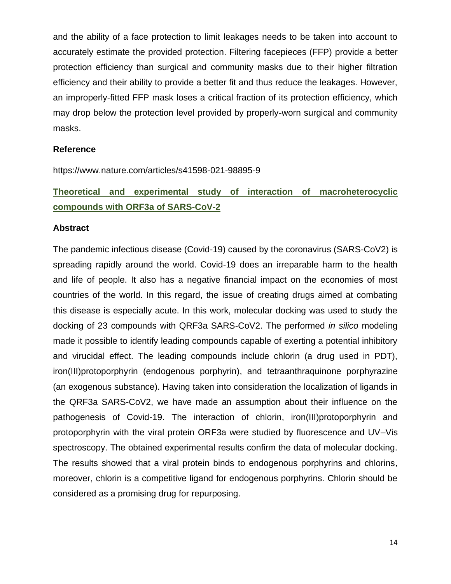and the ability of a face protection to limit leakages needs to be taken into account to accurately estimate the provided protection. Filtering facepieces (FFP) provide a better protection efficiency than surgical and community masks due to their higher filtration efficiency and their ability to provide a better fit and thus reduce the leakages. However, an improperly-fitted FFP mask loses a critical fraction of its protection efficiency, which may drop below the protection level provided by properly-worn surgical and community masks.

### **Reference**

https://www.nature.com/articles/s41598-021-98895-9

## **Theoretical and experimental study of interaction of macroheterocyclic compounds with ORF3a of SARS-CoV-2**

#### **Abstract**

The pandemic infectious disease (Covid-19) caused by the coronavirus (SARS-CoV2) is spreading rapidly around the world. Covid-19 does an irreparable harm to the health and life of people. It also has a negative financial impact on the economies of most countries of the world. In this regard, the issue of creating drugs aimed at combating this disease is especially acute. In this work, molecular docking was used to study the docking of 23 compounds with QRF3a SARS-CoV2. The performed *in silico* modeling made it possible to identify leading compounds capable of exerting a potential inhibitory and virucidal effect. The leading compounds include chlorin (a drug used in PDT), iron(III)protoporphyrin (endogenous porphyrin), and tetraanthraquinone porphyrazine (an exogenous substance). Having taken into consideration the localization of ligands in the QRF3a SARS-CoV2, we have made an assumption about their influence on the pathogenesis of Covid-19. The interaction of chlorin, iron(III)protoporphyrin and protoporphyrin with the viral protein ORF3a were studied by fluorescence and UV–Vis spectroscopy. The obtained experimental results confirm the data of molecular docking. The results showed that a viral protein binds to endogenous porphyrins and chlorins, moreover, chlorin is a competitive ligand for endogenous porphyrins. Chlorin should be considered as a promising drug for repurposing.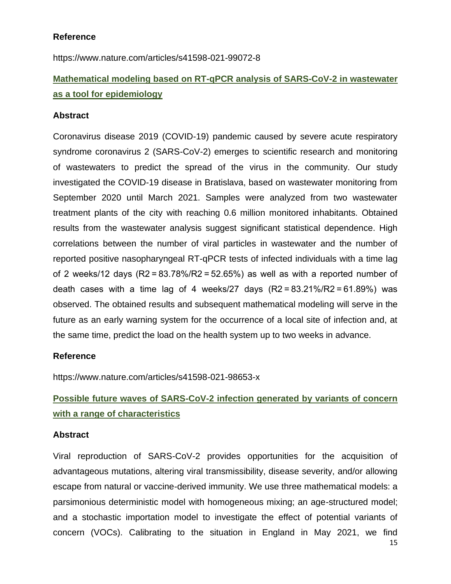### **Reference**

https://www.nature.com/articles/s41598-021-99072-8

# **Mathematical modeling based on RT-qPCR analysis of SARS-CoV-2 in wastewater as a tool for epidemiology**

### **Abstract**

Coronavirus disease 2019 (COVID-19) pandemic caused by severe acute respiratory syndrome coronavirus 2 (SARS-CoV-2) emerges to scientific research and monitoring of wastewaters to predict the spread of the virus in the community. Our study investigated the COVID-19 disease in Bratislava, based on wastewater monitoring from September 2020 until March 2021. Samples were analyzed from two wastewater treatment plants of the city with reaching 0.6 million monitored inhabitants. Obtained results from the wastewater analysis suggest significant statistical dependence. High correlations between the number of viral particles in wastewater and the number of reported positive nasopharyngeal RT-qPCR tests of infected individuals with a time lag of 2 weeks/12 days (R2 = 83.78%/R2 = 52.65%) as well as with a reported number of death cases with a time lag of 4 weeks/27 days (R2 = 83.21%/R2 = 61.89%) was observed. The obtained results and subsequent mathematical modeling will serve in the future as an early warning system for the occurrence of a local site of infection and, at the same time, predict the load on the health system up to two weeks in advance.

### **Reference**

https://www.nature.com/articles/s41598-021-98653-x

# **Possible future waves of SARS-CoV-2 infection generated by variants of concern with a range of characteristics**

### **Abstract**

Viral reproduction of SARS-CoV-2 provides opportunities for the acquisition of advantageous mutations, altering viral transmissibility, disease severity, and/or allowing escape from natural or vaccine-derived immunity. We use three mathematical models: a parsimonious deterministic model with homogeneous mixing; an age-structured model; and a stochastic importation model to investigate the effect of potential variants of concern (VOCs). Calibrating to the situation in England in May 2021, we find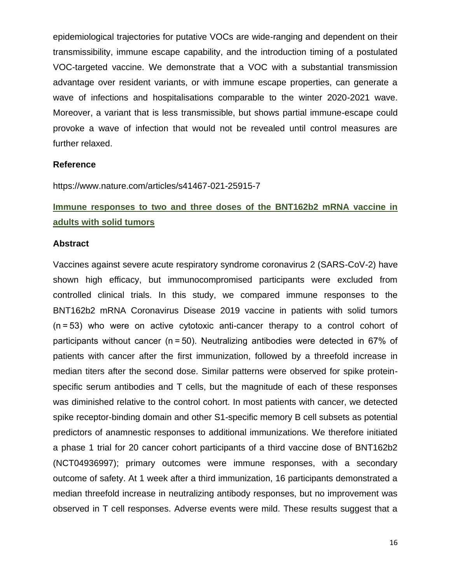epidemiological trajectories for putative VOCs are wide-ranging and dependent on their transmissibility, immune escape capability, and the introduction timing of a postulated VOC-targeted vaccine. We demonstrate that a VOC with a substantial transmission advantage over resident variants, or with immune escape properties, can generate a wave of infections and hospitalisations comparable to the winter 2020-2021 wave. Moreover, a variant that is less transmissible, but shows partial immune-escape could provoke a wave of infection that would not be revealed until control measures are further relaxed.

### **Reference**

https://www.nature.com/articles/s41467-021-25915-7

### **Immune responses to two and three doses of the BNT162b2 mRNA vaccine in adults with solid tumors**

#### **Abstract**

Vaccines against severe acute respiratory syndrome coronavirus 2 (SARS-CoV-2) have shown high efficacy, but immunocompromised participants were excluded from controlled clinical trials. In this study, we compared immune responses to the BNT162b2 mRNA Coronavirus Disease 2019 vaccine in patients with solid tumors (n = 53) who were on active cytotoxic anti-cancer therapy to a control cohort of participants without cancer (n = 50). Neutralizing antibodies were detected in 67% of patients with cancer after the first immunization, followed by a threefold increase in median titers after the second dose. Similar patterns were observed for spike proteinspecific serum antibodies and T cells, but the magnitude of each of these responses was diminished relative to the control cohort. In most patients with cancer, we detected spike receptor-binding domain and other S1-specific memory B cell subsets as potential predictors of anamnestic responses to additional immunizations. We therefore initiated a phase 1 trial for 20 cancer cohort participants of a third vaccine dose of BNT162b2 (NCT04936997); primary outcomes were immune responses, with a secondary outcome of safety. At 1 week after a third immunization, 16 participants demonstrated a median threefold increase in neutralizing antibody responses, but no improvement was observed in T cell responses. Adverse events were mild. These results suggest that a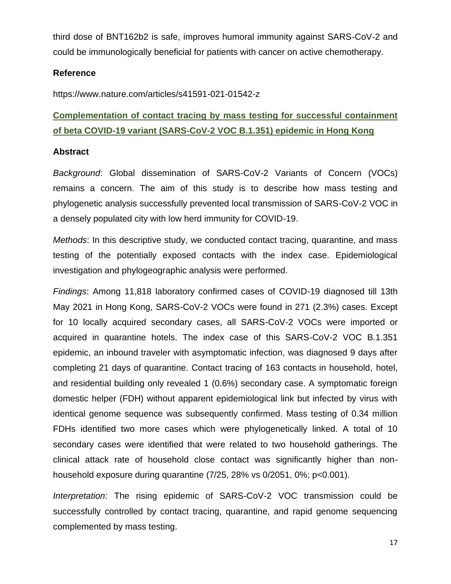third dose of BNT162b2 is safe, improves humoral immunity against SARS-CoV-2 and could be immunologically beneficial for patients with cancer on active chemotherapy.

### **Reference**

https://www.nature.com/articles/s41591-021-01542-z

# **Complementation of contact tracing by mass testing for successful containment of beta COVID-19 variant (SARS-CoV-2 VOC B.1.351) epidemic in Hong Kong**

### **Abstract**

*Background*: Global dissemination of SARS-CoV-2 Variants of Concern (VOCs) remains a concern. The aim of this study is to describe how mass testing and phylogenetic analysis successfully prevented local transmission of SARS-CoV-2 VOC in a densely populated city with low herd immunity for COVID-19.

*Methods*: In this descriptive study, we conducted contact tracing, quarantine, and mass testing of the potentially exposed contacts with the index case. Epidemiological investigation and phylogeographic analysis were performed.

*Findings*: Among 11,818 laboratory confirmed cases of COVID-19 diagnosed till 13th May 2021 in Hong Kong, SARS-CoV-2 VOCs were found in 271 (2.3%) cases. Except for 10 locally acquired secondary cases, all SARS-CoV-2 VOCs were imported or acquired in quarantine hotels. The index case of this SARS-CoV-2 VOC B.1.351 epidemic, an inbound traveler with asymptomatic infection, was diagnosed 9 days after completing 21 days of quarantine. Contact tracing of 163 contacts in household, hotel, and residential building only revealed 1 (0.6%) secondary case. A symptomatic foreign domestic helper (FDH) without apparent epidemiological link but infected by virus with identical genome sequence was subsequently confirmed. Mass testing of 0.34 million FDHs identified two more cases which were phylogenetically linked. A total of 10 secondary cases were identified that were related to two household gatherings. The clinical attack rate of household close contact was significantly higher than nonhousehold exposure during quarantine (7/25, 28% vs 0/2051, 0%; p<0.001).

*Interpretation*: The rising epidemic of SARS-CoV-2 VOC transmission could be successfully controlled by contact tracing, quarantine, and rapid genome sequencing complemented by mass testing.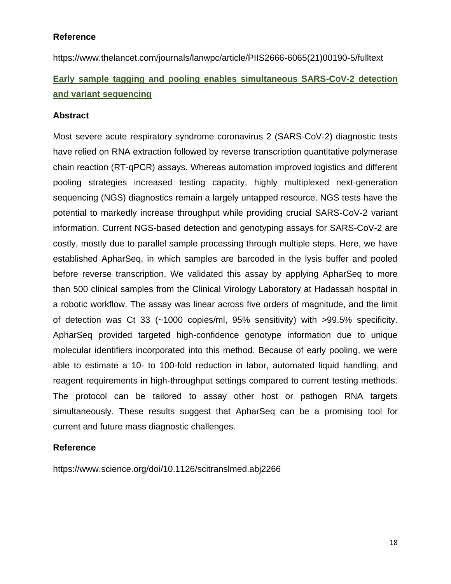### **Reference**

https://www.thelancet.com/journals/lanwpc/article/PIIS2666-6065(21)00190-5/fulltext **Early sample tagging and pooling enables simultaneous SARS-CoV-2 detection and variant sequencing** 

### **Abstract**

Most severe acute respiratory syndrome coronavirus 2 (SARS-CoV-2) diagnostic tests have relied on RNA extraction followed by reverse transcription quantitative polymerase chain reaction (RT-qPCR) assays. Whereas automation improved logistics and different pooling strategies increased testing capacity, highly multiplexed next-generation sequencing (NGS) diagnostics remain a largely untapped resource. NGS tests have the potential to markedly increase throughput while providing crucial SARS-CoV-2 variant information. Current NGS-based detection and genotyping assays for SARS-CoV-2 are costly, mostly due to parallel sample processing through multiple steps. Here, we have established ApharSeq, in which samples are barcoded in the lysis buffer and pooled before reverse transcription. We validated this assay by applying ApharSeq to more than 500 clinical samples from the Clinical Virology Laboratory at Hadassah hospital in a robotic workflow. The assay was linear across five orders of magnitude, and the limit of detection was Ct 33 (~1000 copies/ml, 95% sensitivity) with >99.5% specificity. ApharSeq provided targeted high-confidence genotype information due to unique molecular identifiers incorporated into this method. Because of early pooling, we were able to estimate a 10- to 100-fold reduction in labor, automated liquid handling, and reagent requirements in high-throughput settings compared to current testing methods. The protocol can be tailored to assay other host or pathogen RNA targets simultaneously. These results suggest that ApharSeq can be a promising tool for current and future mass diagnostic challenges.

#### **Reference**

https://www.science.org/doi/10.1126/scitranslmed.abj2266